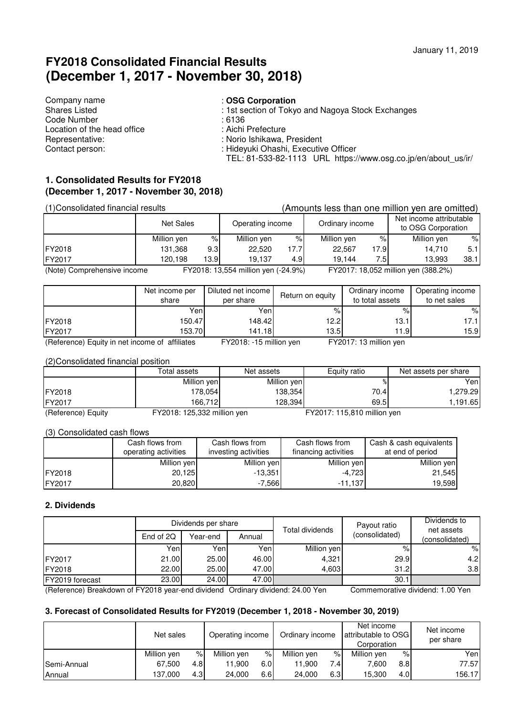# **FY2018 Consolidated Financial Results (December 1, 2017 - November 30, 2018)**

| Company name                |  |
|-----------------------------|--|
| <b>Shares Listed</b>        |  |
| Code Number                 |  |
| Location of the head office |  |
| Representative:             |  |
| Contact person:             |  |

#### : OSG Corporation

: 1st section of Tokyo and Nagoya Stock Exchanges

- $: 6136$
- Lecation of the head of the head of the head of the head of the head of the head of the head of the head of the h
	- : Norio Ishikawa, President
- person:  $\qquad \qquad$ : Hideyuki Ohashi, Executive Officer

TEL: 81-533-82-1113 URL https://www.osg.co.jp/en/about\_us/ir/

# **1. Consolidated Results for FY2018 (December 1, 2017 - November 30, 2018)**

| (1) Consolidated financial results |             |                                     |             |      |                 |                                     | (Amounts less than one million yen are omitted) |      |
|------------------------------------|-------------|-------------------------------------|-------------|------|-----------------|-------------------------------------|-------------------------------------------------|------|
|                                    | Net Sales   | Operating income                    |             |      | Ordinary income |                                     | Net income attributable<br>to OSG Corporation   |      |
|                                    | Million yen | $\%$                                | Million yen | $\%$ | Million yen     | %                                   | Million yen                                     | %।   |
| FY2018                             | 131.368     | 9.3 <sub>l</sub>                    | 22.520      | 17.7 | 22.567          | 17.9                                | 14.710                                          | 5.1  |
| FY2017                             | 120.198     | 13.9                                | 19.137      | 4.91 | 19.144          | 7.5                                 | 13.993                                          | 38.1 |
| (Note) Comprehensive income        |             | FY2018: 13,554 million yen (-24.9%) |             |      |                 | FY2017: 18,052 million yen (388.2%) |                                                 |      |

|        | Net income per<br>share | Diluted net income<br>per share | Return on equity | Ordinary income<br>to total assets | Operating income<br>to net sales |
|--------|-------------------------|---------------------------------|------------------|------------------------------------|----------------------------------|
|        | Yen                     | Yenl                            | %                | %                                  | %                                |
| FY2018 | 150.47                  | 148.42                          | 12.2             | 13.1                               | 17.1                             |
| FY2017 | 153.70                  | 141.18                          | 13.5             | 11.9                               | 15.9                             |

(Reference) Equity in net income of affiliates FY2018: -15 million yen FY2017: 13 million yen

#### (2)Consolidated financial position

|                    | Total assets                | Net assets  | Equity ratio                | Net assets per share |
|--------------------|-----------------------------|-------------|-----------------------------|----------------------|
|                    | Million yen                 | Million yen |                             | Yenl                 |
| FY2018             | 178.0541                    | 138,354     | 70.4                        | 1,279.29             |
| FY2017             | 166.712                     | 128.394     | 69.5                        | 1.191.65             |
| (Reference) Equity | FY2018: 125,332 million yen |             | FY2017: 115,810 million yen |                      |

#### (3) Consolidated cash flows

| $\sim$ |                                         |                                         |                                         |                                             |  |  |  |
|--------|-----------------------------------------|-----------------------------------------|-----------------------------------------|---------------------------------------------|--|--|--|
|        | Cash flows from<br>operating activities | Cash flows from<br>investing activities | Cash flows from<br>financing activities | Cash & cash equivalents<br>at end of period |  |  |  |
|        | Million yen                             | Million yen                             | Million yen                             | Million yen                                 |  |  |  |
| FY2018 | 20.125                                  | $-13,351$                               | $-4.723$                                | 21.545                                      |  |  |  |
| FY2017 | 20,820                                  | $-7,566$                                | $-11,137$                               | 19,598                                      |  |  |  |

#### **2. Dividends**

|                 |           | Dividends per share |        | Total dividends | Payout ratio | Dividends to<br>net assets |
|-----------------|-----------|---------------------|--------|-----------------|--------------|----------------------------|
|                 | End of 2Q | Year-end            | Annual | (consolidated)  |              | (consolidated)             |
|                 | Yenl      | Yenl                | Yenl   | Million yen     | %.           | $\%$                       |
| FY2017          | 21.00     | 25.00               | 46.00  | 4,321           | 29.9         | 4.2                        |
| FY2018          | 22.00     | 25.00               | 47.00  | 4,603           | 31.2         | 3.8                        |
| FY2019 forecast | 23.00     | 24.00               | 47.00  |                 | 30.7         |                            |

(Reference) Breakdown of FY2018 year-end dividend Ordinary dividend: 24.00 Yen Commemorative dividend: 1.00 Yen

# **3. Forecast of Consolidated Results for FY2019 (December 1, 2018 - November 30, 2019)**

|             | Net sales   |      | Operating income |      | Ordinary income |      |             |      | Net income<br>attributable to OSG<br>Corporation |  | Net income<br>per share |
|-------------|-------------|------|------------------|------|-----------------|------|-------------|------|--------------------------------------------------|--|-------------------------|
|             | Million yen | $\%$ | Million yen      | %    | Million ven     | %    | Million ven | %.   | Yen                                              |  |                         |
| Semi-Annual | 67.500      | 4.8I | 11.900           | 6.01 | 11.900          | 7.4  | 7,600       | 8.8  | 77.57                                            |  |                         |
| Annual      | 137.000     | 4.3I | 24.000           | 6.6I | 24.000          | 6.31 | 15.300      | 4.0I | 156.17                                           |  |                         |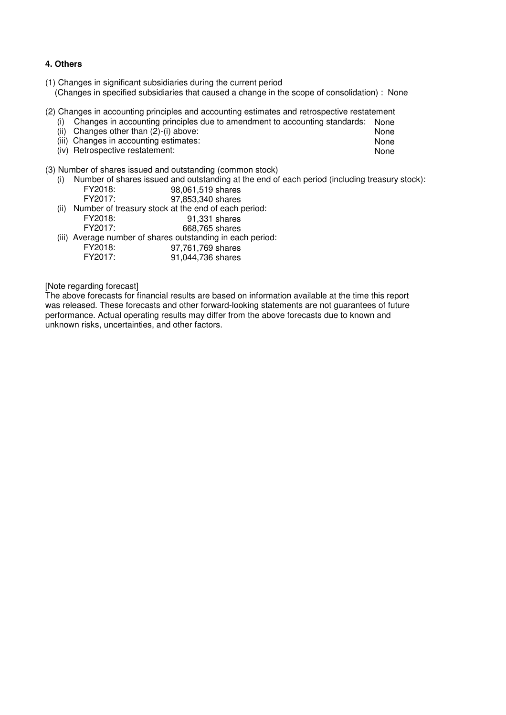#### **4. Others**

- (1) Changes in significant subsidiaries during the current period (Changes in specified subsidiaries that caused a change in the scope of consolidation) : None
- (2) Changes in accounting principles and accounting estimates and retrospective restatement
	- (i) Changes in accounting principles due to amendment to accounting standards: None
	- (ii) Changes other than (2)-(i) above: None
	- (iii) Changes in accounting estimates: None
	- (iv) Retrospective restatement: None
- (3) Number of shares issued and outstanding (common stock)
	- (i) Number of shares issued and outstanding at the end of each period (including treasury stock): FY2018: 98,061,519 shares
	- 97,853,340 shares (ii) Number of treasury stock at the end of each period:<br>FY2018: 91.331 shares FY2018: 91,331 shares 668.765 shares (iii) Average number of shares outstanding in each period: FY2018: 97,761,769 shares 91,044,736 shares

[Note regarding forecast]

The above forecasts for financial results are based on information available at the time this report was released. These forecasts and other forward-looking statements are not guarantees of future performance. Actual operating results may differ from the above forecasts due to known and unknown risks, uncertainties, and other factors.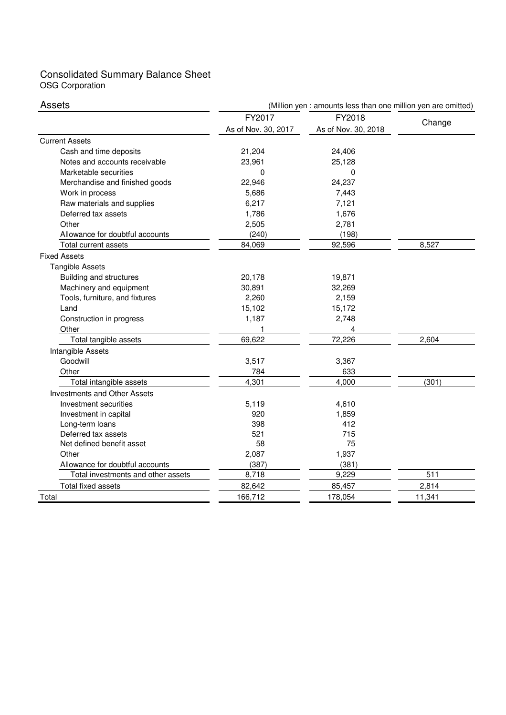#### Consolidated Summary Balance Sheet OSG Corporation

| Assets                              | (Million yen : amounts less than one million yen are omitted) |                     |        |  |  |
|-------------------------------------|---------------------------------------------------------------|---------------------|--------|--|--|
|                                     | FY2017                                                        | FY2018              | Change |  |  |
|                                     | As of Nov. 30, 2017                                           | As of Nov. 30, 2018 |        |  |  |
| <b>Current Assets</b>               |                                                               |                     |        |  |  |
| Cash and time deposits              | 21,204                                                        | 24,406              |        |  |  |
| Notes and accounts receivable       | 23,961                                                        | 25,128              |        |  |  |
| Marketable securities               | 0                                                             | $\Omega$            |        |  |  |
| Merchandise and finished goods      | 22,946                                                        | 24,237              |        |  |  |
| Work in process                     | 5,686                                                         | 7,443               |        |  |  |
| Raw materials and supplies          | 6,217                                                         | 7,121               |        |  |  |
| Deferred tax assets                 | 1,786                                                         | 1,676               |        |  |  |
| Other                               | 2,505                                                         | 2,781               |        |  |  |
| Allowance for doubtful accounts     | (240)                                                         | (198)               |        |  |  |
| <b>Total current assets</b>         | 84,069                                                        | 92,596              | 8,527  |  |  |
| <b>Fixed Assets</b>                 |                                                               |                     |        |  |  |
| <b>Tangible Assets</b>              |                                                               |                     |        |  |  |
| Building and structures             | 20,178                                                        | 19,871              |        |  |  |
| Machinery and equipment             | 30,891                                                        | 32,269              |        |  |  |
| Tools, furniture, and fixtures      | 2,260                                                         | 2,159               |        |  |  |
| Land                                | 15,102                                                        | 15,172              |        |  |  |
| Construction in progress            | 1,187                                                         | 2,748               |        |  |  |
| Other                               | 1                                                             | 4                   |        |  |  |
| Total tangible assets               | 69,622                                                        | 72,226              | 2,604  |  |  |
| Intangible Assets                   |                                                               |                     |        |  |  |
| Goodwill                            | 3,517                                                         | 3,367               |        |  |  |
| Other                               | 784                                                           | 633                 |        |  |  |
| Total intangible assets             | 4,301                                                         | 4,000               | (301)  |  |  |
| <b>Investments and Other Assets</b> |                                                               |                     |        |  |  |
| Investment securities               | 5,119                                                         | 4,610               |        |  |  |
| Investment in capital               | 920                                                           | 1,859               |        |  |  |
| Long-term loans                     | 398                                                           | 412                 |        |  |  |
| Deferred tax assets                 | 521                                                           | 715                 |        |  |  |
| Net defined benefit asset           | 58                                                            | 75                  |        |  |  |
| Other                               | 2,087                                                         | 1,937               |        |  |  |
| Allowance for doubtful accounts     | (387)                                                         | (381)               |        |  |  |
| Total investments and other assets  | 8,718                                                         | 9,229               | 511    |  |  |
| Total fixed assets                  | 82,642                                                        | 85,457              | 2,814  |  |  |
| Total                               | 166,712                                                       | 178,054             | 11,341 |  |  |
|                                     |                                                               |                     |        |  |  |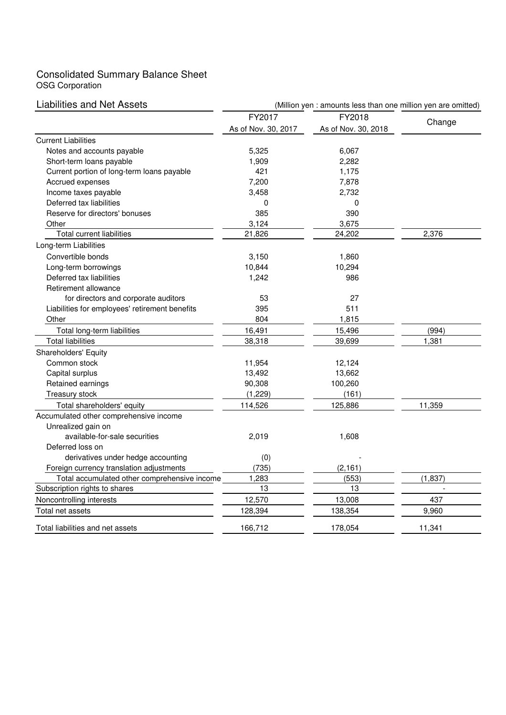# Consolidated Summary Balance Sheet OSG Corporation

| <b>Liabilities and Net Assets</b>              | (Million yen : amounts less than one million yen are omitted) |                     |          |  |  |  |
|------------------------------------------------|---------------------------------------------------------------|---------------------|----------|--|--|--|
|                                                | FY2017                                                        | FY2018              | Change   |  |  |  |
|                                                | As of Nov. 30, 2017                                           | As of Nov. 30, 2018 |          |  |  |  |
| <b>Current Liabilities</b>                     |                                                               |                     |          |  |  |  |
| Notes and accounts payable                     | 5,325                                                         | 6,067               |          |  |  |  |
| Short-term loans payable                       | 1,909                                                         | 2,282               |          |  |  |  |
| Current portion of long-term loans payable     | 421                                                           | 1,175               |          |  |  |  |
| Accrued expenses                               | 7,200                                                         | 7,878               |          |  |  |  |
| Income taxes payable                           | 3,458                                                         | 2,732               |          |  |  |  |
| Deferred tax liabilities                       | 0                                                             | 0                   |          |  |  |  |
| Reserve for directors' bonuses                 | 385                                                           | 390                 |          |  |  |  |
| Other                                          | 3,124                                                         | 3,675               |          |  |  |  |
| Total current liabilities                      | 21,826                                                        | 24,202              | 2,376    |  |  |  |
| Long-term Liabilities                          |                                                               |                     |          |  |  |  |
| Convertible bonds                              | 3,150                                                         | 1,860               |          |  |  |  |
| Long-term borrowings                           | 10,844                                                        | 10,294              |          |  |  |  |
| Deferred tax liabilities                       | 1,242                                                         | 986                 |          |  |  |  |
| Retirement allowance                           |                                                               |                     |          |  |  |  |
| for directors and corporate auditors           | 53                                                            | 27                  |          |  |  |  |
| Liabilities for employees' retirement benefits | 395                                                           | 511                 |          |  |  |  |
| Other                                          | 804                                                           | 1,815               |          |  |  |  |
| Total long-term liabilities                    | 16,491                                                        | 15,496              | (994)    |  |  |  |
| <b>Total liabilities</b>                       | 38,318                                                        | 39,699              | 1,381    |  |  |  |
| <b>Shareholders' Equity</b>                    |                                                               |                     |          |  |  |  |
| Common stock                                   | 11,954                                                        | 12,124              |          |  |  |  |
| Capital surplus                                | 13,492                                                        | 13,662              |          |  |  |  |
| Retained earnings                              | 90,308                                                        | 100,260             |          |  |  |  |
| Treasury stock                                 | (1,229)                                                       | (161)               |          |  |  |  |
| Total shareholders' equity                     | 114,526                                                       | 125,886             | 11,359   |  |  |  |
| Accumulated other comprehensive income         |                                                               |                     |          |  |  |  |
| Unrealized gain on                             |                                                               |                     |          |  |  |  |
| available-for-sale securities                  | 2,019                                                         | 1,608               |          |  |  |  |
| Deferred loss on                               |                                                               |                     |          |  |  |  |
| derivatives under hedge accounting             | (0)                                                           |                     |          |  |  |  |
| Foreign currency translation adjustments       | (735)                                                         | (2, 161)            |          |  |  |  |
| Total accumulated other comprehensive income   | 1,283                                                         | (553)               | (1, 837) |  |  |  |
| Subscription rights to shares                  | 13                                                            | 13                  |          |  |  |  |
| Noncontrolling interests                       | 12,570                                                        | 13,008              | 437      |  |  |  |
| Total net assets                               | 128,394                                                       | 138,354             | 9,960    |  |  |  |
| Total liabilities and net assets               | 166,712                                                       | 178,054             | 11,341   |  |  |  |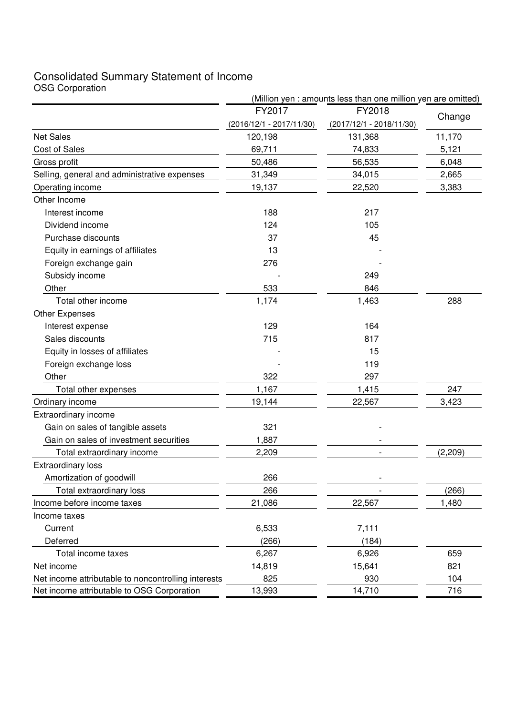# Consolidated Summary Statement of Income OSG Corporation

| USG COIPOIALION                                     | (Million yen : amounts less than one million yen are omitted) |                            |         |  |
|-----------------------------------------------------|---------------------------------------------------------------|----------------------------|---------|--|
|                                                     | FY2017                                                        | FY2018                     |         |  |
|                                                     | $(2016/12/1 - 2017/11/30)$                                    | $(2017/12/1 - 2018/11/30)$ | Change  |  |
| <b>Net Sales</b>                                    | 120,198                                                       | 131,368                    | 11,170  |  |
| <b>Cost of Sales</b>                                | 69,711                                                        | 74,833                     | 5,121   |  |
| Gross profit                                        | 50,486                                                        | 56,535                     | 6,048   |  |
| Selling, general and administrative expenses        | 31,349                                                        | 34,015                     | 2,665   |  |
| Operating income                                    | 19,137                                                        | 22,520                     | 3,383   |  |
| Other Income                                        |                                                               |                            |         |  |
| Interest income                                     | 188                                                           | 217                        |         |  |
| Dividend income                                     | 124                                                           | 105                        |         |  |
| Purchase discounts                                  | 37                                                            | 45                         |         |  |
| Equity in earnings of affiliates                    | 13                                                            |                            |         |  |
| Foreign exchange gain                               | 276                                                           |                            |         |  |
| Subsidy income                                      |                                                               | 249                        |         |  |
| Other                                               | 533                                                           | 846                        |         |  |
| Total other income                                  | 1,174                                                         | 1,463                      | 288     |  |
| <b>Other Expenses</b>                               |                                                               |                            |         |  |
| Interest expense                                    | 129                                                           | 164                        |         |  |
| Sales discounts                                     | 715                                                           | 817                        |         |  |
| Equity in losses of affiliates                      |                                                               | 15                         |         |  |
| Foreign exchange loss                               |                                                               | 119                        |         |  |
| Other                                               | 322                                                           | 297                        |         |  |
| Total other expenses                                | 1,167                                                         | 1,415                      | 247     |  |
| Ordinary income                                     | 19,144                                                        | 22,567                     | 3,423   |  |
| Extraordinary income                                |                                                               |                            |         |  |
| Gain on sales of tangible assets                    | 321                                                           |                            |         |  |
| Gain on sales of investment securities              | 1,887                                                         |                            |         |  |
| Total extraordinary income                          | 2,209                                                         |                            | (2,209) |  |
| <b>Extraordinary loss</b>                           |                                                               |                            |         |  |
| Amortization of goodwill                            | 266                                                           |                            |         |  |
| Total extraordinary loss                            | 266                                                           |                            | (266)   |  |
| Income before income taxes                          | 21,086                                                        | 22,567                     | 1,480   |  |
| Income taxes                                        |                                                               |                            |         |  |
| Current                                             | 6,533                                                         | 7,111                      |         |  |
| Deferred                                            | (266)                                                         | (184)                      |         |  |
| Total income taxes                                  | 6,267                                                         | 6,926                      | 659     |  |
| Net income                                          | 14,819                                                        | 15,641                     | 821     |  |
| Net income attributable to noncontrolling interests | 825                                                           | 930                        | 104     |  |
| Net income attributable to OSG Corporation          | 13,993                                                        | 14,710                     | 716     |  |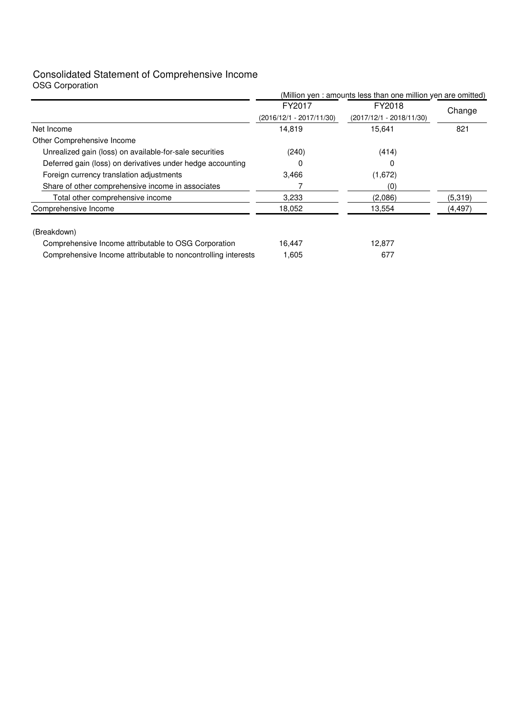# Consolidated Statement of Comprehensive Income

| <b>OSG Corporation</b>                                        |                                    |                                                                                                       |          |
|---------------------------------------------------------------|------------------------------------|-------------------------------------------------------------------------------------------------------|----------|
|                                                               | FY2017<br>(2016/12/1 - 2017/11/30) | (Million yen : amounts less than one million yen are omitted)<br>FY2018<br>$(2017/12/1 - 2018/11/30)$ | Change   |
| Net Income                                                    | 14,819                             | 15,641                                                                                                | 821      |
| Other Comprehensive Income                                    |                                    |                                                                                                       |          |
| Unrealized gain (loss) on available-for-sale securities       | (240)                              | (414)                                                                                                 |          |
| Deferred gain (loss) on derivatives under hedge accounting    | 0                                  |                                                                                                       |          |
| Foreign currency translation adjustments                      | 3,466                              | (1,672)                                                                                               |          |
| Share of other comprehensive income in associates             |                                    | (0)                                                                                                   |          |
| Total other comprehensive income                              | 3,233                              | (2,086)                                                                                               | (5,319)  |
| Comprehensive Income                                          | 18,052                             | 13,554                                                                                                | (4, 497) |
| (Breakdown)                                                   |                                    |                                                                                                       |          |
| Comprehensive Income attributable to OSG Corporation          | 16,447                             | 12,877                                                                                                |          |
| Comprehensive Income attributable to noncontrolling interests | 1,605                              | 677                                                                                                   |          |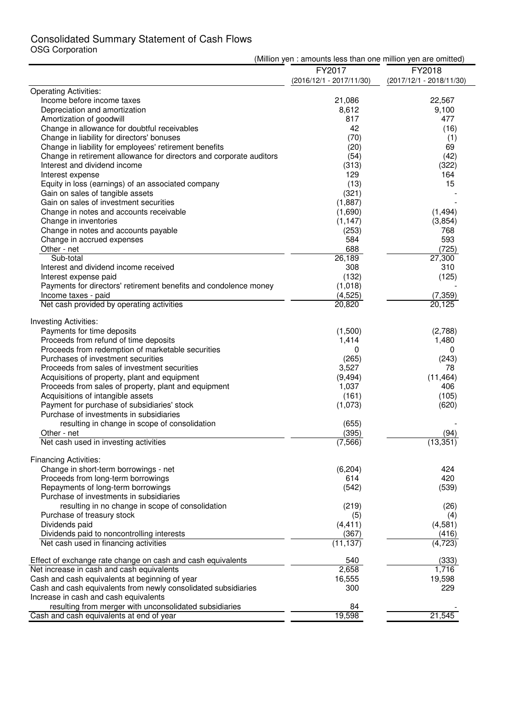# Consolidated Summary Statement of Cash Flows OSG Corporation

| USG COIPOIAIIOH<br>(Million yen : amounts less than one million yen are omitted)                         |                          |                            |  |  |  |
|----------------------------------------------------------------------------------------------------------|--------------------------|----------------------------|--|--|--|
|                                                                                                          |                          |                            |  |  |  |
|                                                                                                          | FY2017                   | FY2018                     |  |  |  |
|                                                                                                          | (2016/12/1 - 2017/11/30) | $(2017/12/1 - 2018/11/30)$ |  |  |  |
| <b>Operating Activities:</b><br>Income before income taxes                                               | 21,086                   | 22,567                     |  |  |  |
| Depreciation and amortization                                                                            | 8,612                    | 9,100                      |  |  |  |
| Amortization of goodwill                                                                                 | 817                      | 477                        |  |  |  |
| Change in allowance for doubtful receivables                                                             | 42                       | (16)                       |  |  |  |
| Change in liability for directors' bonuses                                                               | (70)                     | (1)                        |  |  |  |
| Change in liability for employees' retirement benefits                                                   | (20)                     | 69                         |  |  |  |
| Change in retirement allowance for directors and corporate auditors                                      | (54)                     | (42)                       |  |  |  |
| Interest and dividend income                                                                             | (313)                    | (322)                      |  |  |  |
| Interest expense                                                                                         | 129                      | 164                        |  |  |  |
| Equity in loss (earnings) of an associated company                                                       | (13)                     | 15                         |  |  |  |
| Gain on sales of tangible assets                                                                         | (321)                    |                            |  |  |  |
| Gain on sales of investment securities                                                                   | (1,887)                  |                            |  |  |  |
| Change in notes and accounts receivable                                                                  | (1,690)                  | (1, 494)                   |  |  |  |
| Change in inventories                                                                                    | (1, 147)                 | (3,854)                    |  |  |  |
| Change in notes and accounts payable                                                                     | (253)                    | 768                        |  |  |  |
| Change in accrued expenses                                                                               | 584                      | 593                        |  |  |  |
| Other - net                                                                                              | 688                      | (725)                      |  |  |  |
| Sub-total                                                                                                | 26,189                   | 27,300                     |  |  |  |
| Interest and dividend income received                                                                    | 308                      | 310                        |  |  |  |
| Interest expense paid                                                                                    | (132)                    | (125)                      |  |  |  |
| Payments for directors' retirement benefits and condolence money                                         | (1,018)                  |                            |  |  |  |
| Income taxes - paid                                                                                      | (4, 525)                 | (7, 359)                   |  |  |  |
| Net cash provided by operating activities                                                                | 20,820                   | 20,125                     |  |  |  |
| <b>Investing Activities:</b>                                                                             |                          |                            |  |  |  |
| Payments for time deposits                                                                               | (1,500)                  | (2,788)                    |  |  |  |
| Proceeds from refund of time deposits                                                                    | 1,414                    | 1,480                      |  |  |  |
| Proceeds from redemption of marketable securities                                                        | 0                        | 0                          |  |  |  |
| Purchases of investment securities                                                                       | (265)                    | (243)                      |  |  |  |
| Proceeds from sales of investment securities                                                             | 3,527                    | 78                         |  |  |  |
| Acquisitions of property, plant and equipment                                                            | (9, 494)                 | (11, 464)                  |  |  |  |
| Proceeds from sales of property, plant and equipment                                                     | 1,037                    | 406                        |  |  |  |
| Acquisitions of intangible assets                                                                        | (161)                    | (105)                      |  |  |  |
| Payment for purchase of subsidiaries' stock                                                              | (1,073)                  | (620)                      |  |  |  |
| Purchase of investments in subsidiaries                                                                  |                          |                            |  |  |  |
| resulting in change in scope of consolidation                                                            | (655)                    |                            |  |  |  |
| Other - net                                                                                              | (395)                    | (94)                       |  |  |  |
| Net cash used in investing activities                                                                    | (7, 566)                 | (13, 351)                  |  |  |  |
| <b>Financing Activities:</b>                                                                             |                          |                            |  |  |  |
| Change in short-term borrowings - net                                                                    | (6, 204)                 | 424                        |  |  |  |
| Proceeds from long-term borrowings                                                                       | 614                      | 420                        |  |  |  |
| Repayments of long-term borrowings                                                                       | (542)                    | (539)                      |  |  |  |
| Purchase of investments in subsidiaries                                                                  |                          |                            |  |  |  |
| resulting in no change in scope of consolidation                                                         | (219)                    | (26)                       |  |  |  |
| Purchase of treasury stock                                                                               | (5)                      | (4)                        |  |  |  |
| Dividends paid                                                                                           | (4, 411)                 | (4,581)                    |  |  |  |
| Dividends paid to noncontrolling interests                                                               | (367)                    | (416)                      |  |  |  |
| Net cash used in financing activities                                                                    | (11, 137)                | (4, 723)                   |  |  |  |
|                                                                                                          |                          |                            |  |  |  |
| Effect of exchange rate change on cash and cash equivalents<br>Net increase in cash and cash equivalents | 540<br>2,658             | (333)<br>1,716             |  |  |  |
| Cash and cash equivalents at beginning of year                                                           | 16,555                   | 19,598                     |  |  |  |
| Cash and cash equivalents from newly consolidated subsidiaries                                           | 300                      | 229                        |  |  |  |
| Increase in cash and cash equivalents                                                                    |                          |                            |  |  |  |
| resulting from merger with unconsolidated subsidiaries                                                   | 84                       |                            |  |  |  |
| Cash and cash equivalents at end of year                                                                 | 19,598                   | 21,545                     |  |  |  |